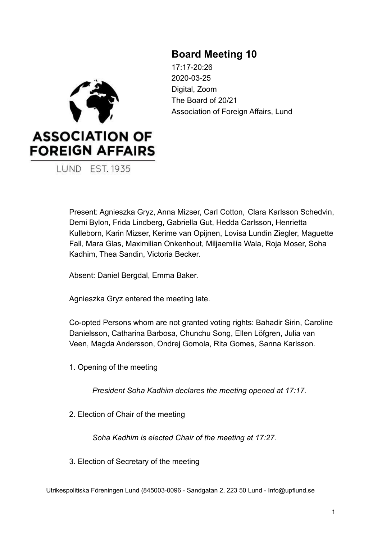# **Board Meeting 10**

**ASSOCIATION OF FOREIGN AFFAIRS LUND EST. 1935** 

17:17-20:26 2020-03-25 Digital, Zoom The Board of 20/21 Association of Foreign Affairs, Lund

Present: Agnieszka Gryz, Anna Mizser, Carl Cotton, Clara Karlsson Schedvin, Demi Bylon, Frida Lindberg, Gabriella Gut, Hedda Carlsson, Henrietta Kulleborn, Karin Mizser, Kerime van Opijnen, Lovisa Lundin Ziegler, Maguette Fall, Mara Glas, Maximilian Onkenhout, Miljaemilia Wala, Roja Moser, Soha Kadhim, Thea Sandin, Victoria Becker.

Absent: Daniel Bergdal, Emma Baker.

Agnieszka Gryz entered the meeting late.

Co-opted Persons whom are not granted voting rights: Bahadir Sirin, Caroline Danielsson, Catharina Barbosa, Chunchu Song, Ellen Löfgren, Julia van Veen, Magda Andersson, Ondrej Gomola, Rita Gomes, Sanna Karlsson.

1. Opening of the meeting

*President Soha Kadhim declares the meeting opened at 17:17.*

2. Election of Chair of the meeting

*Soha Kadhim is elected Chair of the meeting at 17:27.*

3. Election of Secretary of the meeting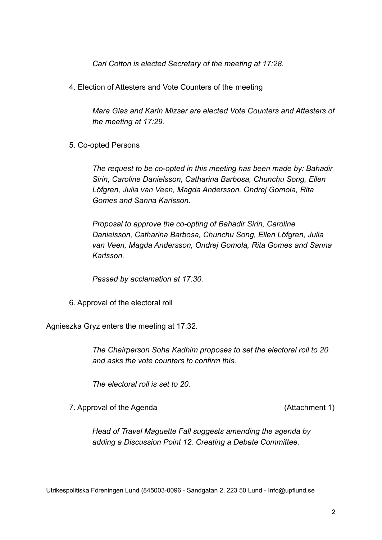*Carl Cotton is elected Secretary of the meeting at 17:28.*

4. Election of Attesters and Vote Counters of the meeting

*Mara Glas and Karin Mizser are elected Vote Counters and Attesters of the meeting at 17:29.*

5. Co-opted Persons

*The request to be co-opted in this meeting has been made by: Bahadir Sirin, Caroline Danielsson, Catharina Barbosa, Chunchu Song, Ellen Löfgren, Julia van Veen, Magda Andersson, Ondrej Gomola, Rita Gomes and Sanna Karlsson.*

*Proposal to approve the co-opting of Bahadir Sirin, Caroline Danielsson, Catharina Barbosa, Chunchu Song, Ellen Löfgren, Julia van Veen, Magda Andersson, Ondrej Gomola, Rita Gomes and Sanna Karlsson.*

*Passed by acclamation at 17:30.*

6. Approval of the electoral roll

Agnieszka Gryz enters the meeting at 17:32.

*The Chairperson Soha Kadhim proposes to set the electoral roll to 20 and asks the vote counters to confirm this.*

*The electoral roll is set to 20.*

7. Approval of the Agenda (Attachment 1)

*Head of Travel Maguette Fall suggests amending the agenda by adding a Discussion Point 12. Creating a Debate Committee.*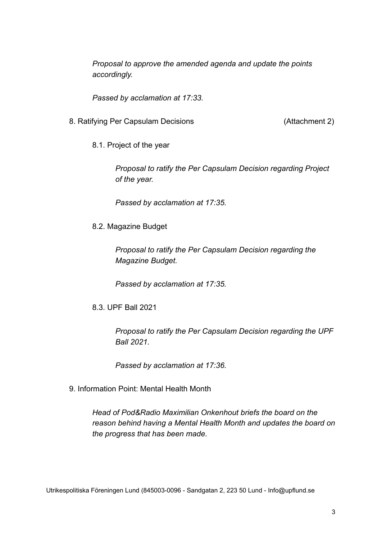*Proposal to approve the amended agenda and update the points accordingly.*

*Passed by acclamation at 17:33.*

- 8. Ratifying Per Capsulam Decisions (Attachment 2)
	- 8.1. Project of the year

*Proposal to ratify the Per Capsulam Decision regarding Project of the year.*

*Passed by acclamation at 17:35.*

8.2. Magazine Budget

*Proposal to ratify the Per Capsulam Decision regarding the Magazine Budget.*

*Passed by acclamation at 17:35.*

8.3. UPF Ball 2021

*Proposal to ratify the Per Capsulam Decision regarding the UPF Ball 2021.*

*Passed by acclamation at 17:36.*

9. Information Point: Mental Health Month

*Head of Pod&Radio Maximilian Onkenhout briefs the board on the reason behind having a Mental Health Month and updates the board on the progress that has been made.*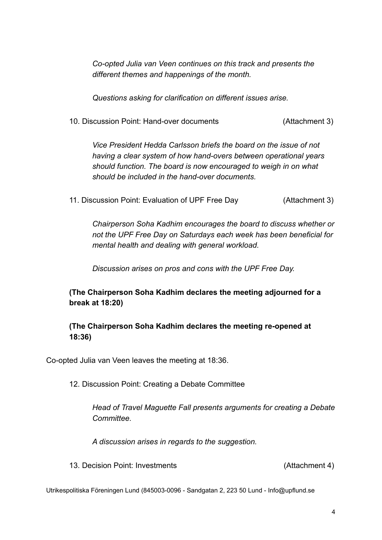*Co-opted Julia van Veen continues on this track and presents the different themes and happenings of the month.*

*Questions asking for clarification on different issues arise.*

10. Discussion Point: Hand-over documents (Attachment 3)

*Vice President Hedda Carlsson briefs the board on the issue of not having a clear system of how hand-overs between operational years should function. The board is now encouraged to weigh in on what should be included in the hand-over documents.*

11. Discussion Point: Evaluation of UPF Free Day (Attachment 3)

*Chairperson Soha Kadhim encourages the board to discuss whether or not the UPF Free Day on Saturdays each week has been beneficial for mental health and dealing with general workload.*

*Discussion arises on pros and cons with the UPF Free Day.*

**(The Chairperson Soha Kadhim declares the meeting adjourned for a break at 18:20)**

# **(The Chairperson Soha Kadhim declares the meeting re-opened at 18:36)**

Co-opted Julia van Veen leaves the meeting at 18:36.

12. Discussion Point: Creating a Debate Committee

*Head of Travel Maguette Fall presents arguments for creating a Debate Committee.*

*A discussion arises in regards to the suggestion.*

13. Decision Point: Investments (Attachment 4)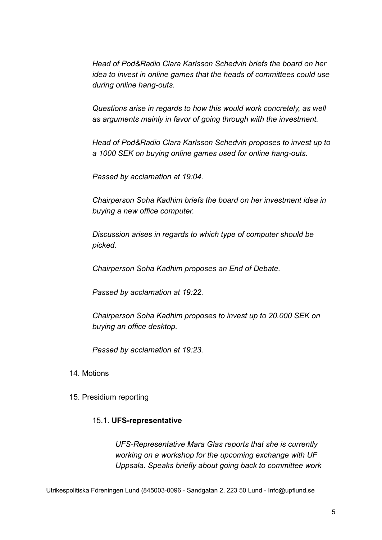*Head of Pod&Radio Clara Karlsson Schedvin briefs the board on her idea to invest in online games that the heads of committees could use during online hang-outs.*

*Questions arise in regards to how this would work concretely, as well as arguments mainly in favor of going through with the investment.*

*Head of Pod&Radio Clara Karlsson Schedvin proposes to invest up to a 1000 SEK on buying online games used for online hang-outs.*

*Passed by acclamation at 19:04.*

*Chairperson Soha Kadhim briefs the board on her investment idea in buying a new office computer.*

*Discussion arises in regards to which type of computer should be picked.*

*Chairperson Soha Kadhim proposes an End of Debate.*

*Passed by acclamation at 19:22.*

*Chairperson Soha Kadhim proposes to invest up to 20.000 SEK on buying an office desktop.*

*Passed by acclamation at 19:23.*

### 14. Motions

15. Presidium reporting

### 15.1. **UFS-representative**

*UFS-Representative Mara Glas reports that she is currently working on a workshop for the upcoming exchange with UF Uppsala. Speaks briefly about going back to committee work*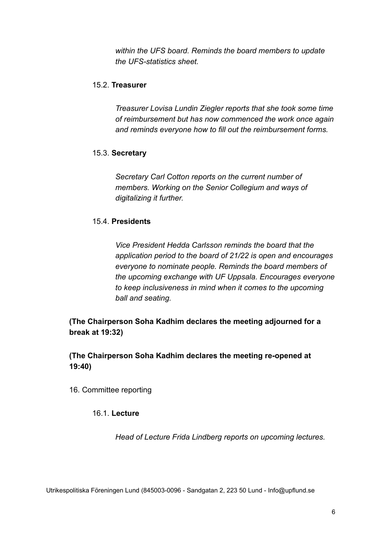*within the UFS board. Reminds the board members to update the UFS-statistics sheet.*

## 15.2. **Treasurer**

*Treasurer Lovisa Lundin Ziegler reports that she took some time of reimbursement but has now commenced the work once again and reminds everyone how to fill out the reimbursement forms.*

### 15.3. **Secretary**

*Secretary Carl Cotton reports on the current number of members. Working on the Senior Collegium and ways of digitalizing it further.*

# 15.4. **Presidents**

*Vice President Hedda Carlsson reminds the board that the application period to the board of 21/22 is open and encourages everyone to nominate people. Reminds the board members of the upcoming exchange with UF Uppsala. Encourages everyone to keep inclusiveness in mind when it comes to the upcoming ball and seating.*

**(The Chairperson Soha Kadhim declares the meeting adjourned for a break at 19:32)**

**(The Chairperson Soha Kadhim declares the meeting re-opened at 19:40)**

16. Committee reporting

# 16.1. **Lecture**

*Head of Lecture Frida Lindberg reports on upcoming lectures.*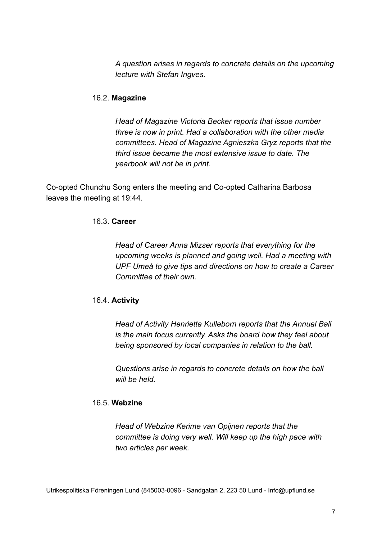*A question arises in regards to concrete details on the upcoming lecture with Stefan Ingves.*

### 16.2. **Magazine**

*Head of Magazine Victoria Becker reports that issue number three is now in print. Had a collaboration with the other media committees. Head of Magazine Agnieszka Gryz reports that the third issue became the most extensive issue to date. The yearbook will not be in print.*

Co-opted Chunchu Song enters the meeting and Co-opted Catharina Barbosa leaves the meeting at 19:44.

# 16.3. **Career**

*Head of Career Anna Mizser reports that everything for the upcoming weeks is planned and going well. Had a meeting with UPF Umeå to give tips and directions on how to create a Career Committee of their own.*

# 16.4. **Activity**

*Head of Activity Henrietta Kulleborn reports that the Annual Ball is the main focus currently. Asks the board how they feel about being sponsored by local companies in relation to the ball.*

*Questions arise in regards to concrete details on how the ball will be held.*

### 16.5. **Webzine**

*Head of Webzine Kerime van Opijnen reports that the committee is doing very well. Will keep up the high pace with two articles per week.*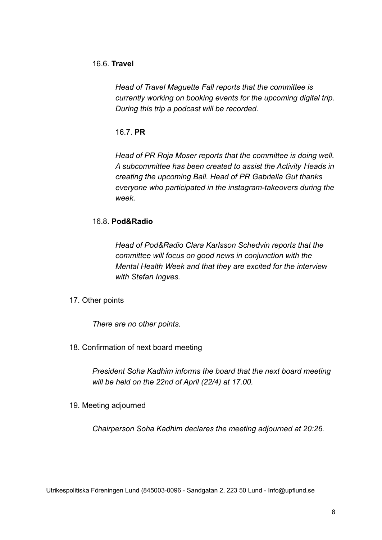### 16.6. **Travel**

*Head of Travel Maguette Fall reports that the committee is currently working on booking events for the upcoming digital trip. During this trip a podcast will be recorded.*

16.7. **PR**

*Head of PR Roja Moser reports that the committee is doing well. A subcommittee has been created to assist the Activity Heads in creating the upcoming Ball. Head of PR Gabriella Gut thanks everyone who participated in the instagram-takeovers during the week.*

### 16.8. **Pod&Radio**

*Head of Pod&Radio Clara Karlsson Schedvin reports that the committee will focus on good news in conjunction with the Mental Health Week and that they are excited for the interview with Stefan Ingves.*

17. Other points

*There are no other points.*

18. Confirmation of next board meeting

*President Soha Kadhim informs the board that the next board meeting will be held on the 22nd of April (22/4) at 17.00.*

19. Meeting adjourned

*Chairperson Soha Kadhim declares the meeting adjourned at 20:26.*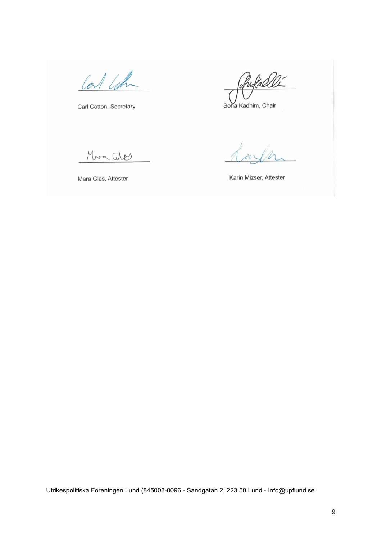lat like

Carl Cotton, Secretary

ProfaceU

Soha Kadhim, Chair

Mara Ches

Mara Glas, Attester

Karin Mizser, Attester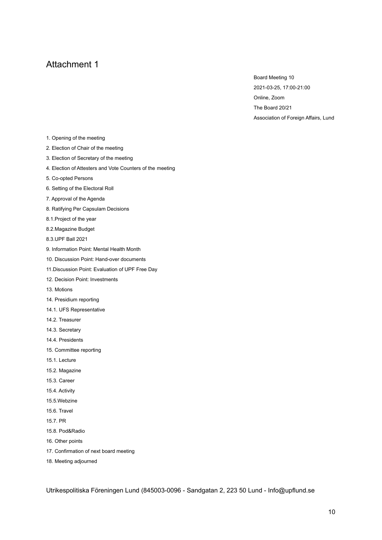Board Meeting 10 2021-03-25, 17:00-21:00 Online, Zoom The Board 20/21 Association of Foreign Affairs, Lund

- 1. Opening of the meeting
- 2. Election of Chair of the meeting
- 3. Election of Secretary of the meeting
- 4. Election of Attesters and Vote Counters of the meeting
- 5. Co-opted Persons
- 6. Setting of the Electoral Roll
- 7. Approval of the Agenda
- 8. Ratifying Per Capsulam Decisions
- 8.1.Project of the year
- 8.2.Magazine Budget
- 8.3.UPF Ball 2021
- 9. Information Point: Mental Health Month
- 10. Discussion Point: Hand-over documents
- 11.Discussion Point: Evaluation of UPF Free Day
- 12. Decision Point: Investments
- 13. Motions
- 14. Presidium reporting
- 14.1. UFS Representative
- 14.2. Treasurer
- 14.3. Secretary
- 14.4. Presidents
- 15. Committee reporting
- 15.1. Lecture
- 15.2. Magazine
- 15.3. Career
- 15.4. Activity
- 15.5.Webzine
- 15.6. Travel
- 15.7. PR
- 15.8. Pod&Radio
- 16. Other points
- 17. Confirmation of next board meeting
- 18. Meeting adjourned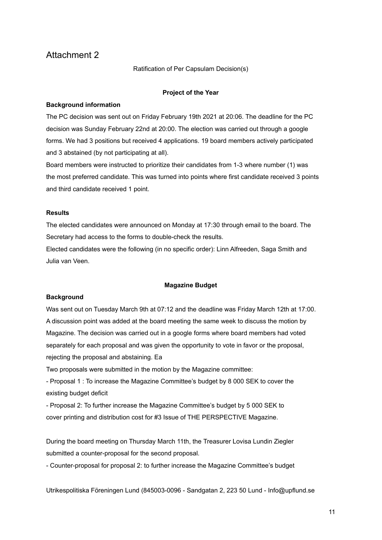Ratification of Per Capsulam Decision(s)

#### **Project of the Year**

#### **Background information**

The PC decision was sent out on Friday February 19th 2021 at 20:06. The deadline for the PC decision was Sunday February 22nd at 20:00. The election was carried out through a google forms. We had 3 positions but received 4 applications. 19 board members actively participated and 3 abstained (by not participating at all).

Board members were instructed to prioritize their candidates from 1-3 where number (1) was the most preferred candidate. This was turned into points where first candidate received 3 points and third candidate received 1 point.

#### **Results**

The elected candidates were announced on Monday at 17:30 through email to the board. The Secretary had access to the forms to double-check the results.

Elected candidates were the following (in no specific order): Linn Alfreeden, Saga Smith and Julia van Veen.

#### **Magazine Budget**

#### **Background**

Was sent out on Tuesday March 9th at 07:12 and the deadline was Friday March 12th at 17:00. A discussion point was added at the board meeting the same week to discuss the motion by Magazine. The decision was carried out in a google forms where board members had voted separately for each proposal and was given the opportunity to vote in favor or the proposal, rejecting the proposal and abstaining. Ea

Two proposals were submitted in the motion by the Magazine committee:

- Proposal 1 : To increase the Magazine Committee's budget by 8 000 SEK to cover the existing budget deficit

- Proposal 2: To further increase the Magazine Committee's budget by 5 000 SEK to cover printing and distribution cost for #3 Issue of THE PERSPECTIVE Magazine.

During the board meeting on Thursday March 11th, the Treasurer Lovisa Lundin Ziegler submitted a counter-proposal for the second proposal.

- Counter-proposal for proposal 2: to further increase the Magazine Committee's budget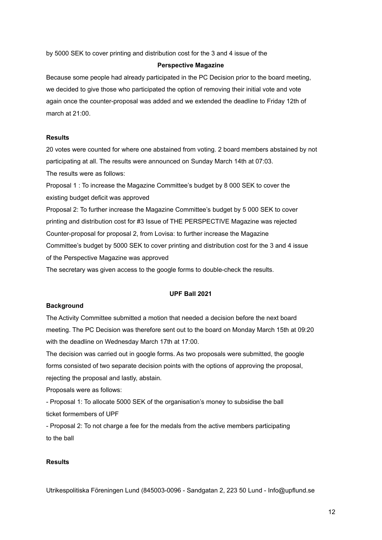by 5000 SEK to cover printing and distribution cost for the 3 and 4 issue of the

#### **Perspective Magazine**

Because some people had already participated in the PC Decision prior to the board meeting, we decided to give those who participated the option of removing their initial vote and vote again once the counter-proposal was added and we extended the deadline to Friday 12th of march at 21:00.

### **Results**

20 votes were counted for where one abstained from voting. 2 board members abstained by not participating at all. The results were announced on Sunday March 14th at 07:03. The results were as follows:

Proposal 1 : To increase the Magazine Committee's budget by 8 000 SEK to cover the existing budget deficit was approved

Proposal 2: To further increase the Magazine Committee's budget by 5 000 SEK to cover printing and distribution cost for #3 Issue of THE PERSPECTIVE Magazine was rejected Counter-proposal for proposal 2, from Lovisa: to further increase the Magazine Committee's budget by 5000 SEK to cover printing and distribution cost for the 3 and 4 issue of the Perspective Magazine was approved

The secretary was given access to the google forms to double-check the results.

#### **UPF Ball 2021**

### **Background**

The Activity Committee submitted a motion that needed a decision before the next board meeting. The PC Decision was therefore sent out to the board on Monday March 15th at 09:20 with the deadline on Wednesday March 17th at 17:00.

The decision was carried out in google forms. As two proposals were submitted, the google forms consisted of two separate decision points with the options of approving the proposal, rejecting the proposal and lastly, abstain.

Proposals were as follows:

- Proposal 1: To allocate 5000 SEK of the organisation's money to subsidise the ball ticket formembers of UPF

- Proposal 2: To not charge a fee for the medals from the active members participating to the ball

### **Results**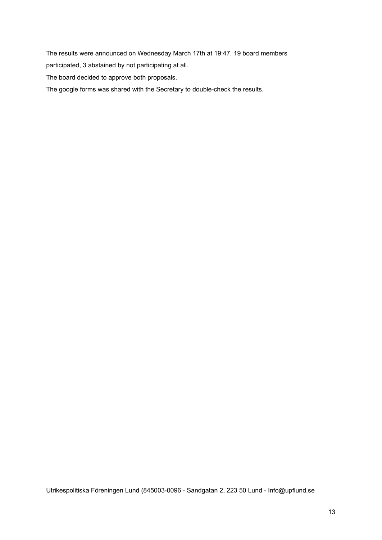The results were announced on Wednesday March 17th at 19:47. 19 board members

participated, 3 abstained by not participating at all.

The board decided to approve both proposals.

The google forms was shared with the Secretary to double-check the results.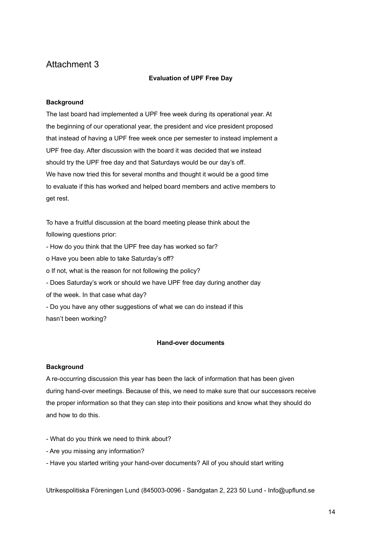### **Evaluation of UPF Free Day**

### **Background**

The last board had implemented a UPF free week during its operational year. At the beginning of our operational year, the president and vice president proposed that instead of having a UPF free week once per semester to instead implement a UPF free day. After discussion with the board it was decided that we instead should try the UPF free day and that Saturdays would be our day's off. We have now tried this for several months and thought it would be a good time to evaluate if this has worked and helped board members and active members to get rest.

To have a fruitful discussion at the board meeting please think about the following questions prior:

- How do you think that the UPF free day has worked so far?

o Have you been able to take Saturday's off?

o If not, what is the reason for not following the policy?

- Does Saturday's work or should we have UPF free day during another day

of the week. In that case what day?

- Do you have any other suggestions of what we can do instead if this hasn't been working?

### **Hand-over documents**

### **Background**

A re-occurring discussion this year has been the lack of information that has been given during hand-over meetings. Because of this, we need to make sure that our successors receive the proper information so that they can step into their positions and know what they should do and how to do this.

- What do you think we need to think about?
- Are you missing any information?
- Have you started writing your hand-over documents? All of you should start writing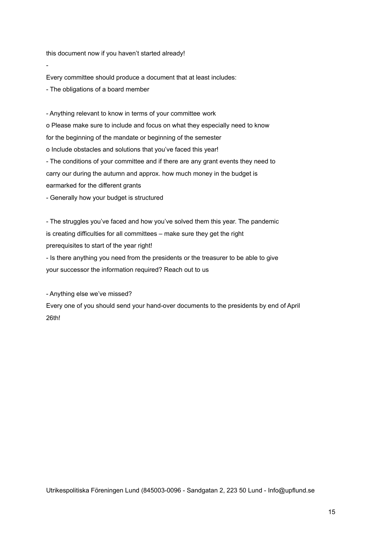this document now if you haven't started already!

Every committee should produce a document that at least includes:

- The obligations of a board member

-

- Anything relevant to know in terms of your committee work o Please make sure to include and focus on what they especially need to know for the beginning of the mandate or beginning of the semester o Include obstacles and solutions that you've faced this year! - The conditions of your committee and if there are any grant events they need to carry our during the autumn and approx. how much money in the budget is earmarked for the different grants

- Generally how your budget is structured

- The struggles you've faced and how you've solved them this year. The pandemic is creating difficulties for all committees – make sure they get the right prerequisites to start of the year right!

- Is there anything you need from the presidents or the treasurer to be able to give your successor the information required? Reach out to us

- Anything else we've missed?

Every one of you should send your hand-over documents to the presidents by end of April 26th!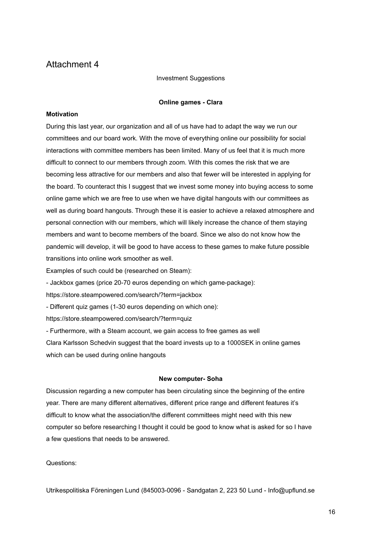Investment Suggestions

#### **Online games - Clara**

### **Motivation**

During this last year, our organization and all of us have had to adapt the way we run our committees and our board work. With the move of everything online our possibility for social interactions with committee members has been limited. Many of us feel that it is much more difficult to connect to our members through zoom. With this comes the risk that we are becoming less attractive for our members and also that fewer will be interested in applying for the board. To counteract this I suggest that we invest some money into buying access to some online game which we are free to use when we have digital hangouts with our committees as well as during board hangouts. Through these it is easier to achieve a relaxed atmosphere and personal connection with our members, which will likely increase the chance of them staying members and want to become members of the board. Since we also do not know how the pandemic will develop, it will be good to have access to these games to make future possible transitions into online work smoother as well.

Examples of such could be (researched on Steam):

- Jackbox games (price 20-70 euros depending on which game-package):

https://store.steampowered.com/search/?term=jackbox

- Different quiz games (1-30 euros depending on which one):

https://store.steampowered.com/search/?term=quiz

- Furthermore, with a Steam account, we gain access to free games as well

Clara Karlsson Schedvin suggest that the board invests up to a 1000SEK in online games which can be used during online hangouts

### **New computer- Soha**

Discussion regarding a new computer has been circulating since the beginning of the entire year. There are many different alternatives, different price range and different features it's difficult to know what the association/the different committees might need with this new computer so before researching I thought it could be good to know what is asked for so I have a few questions that needs to be answered.

Questions: